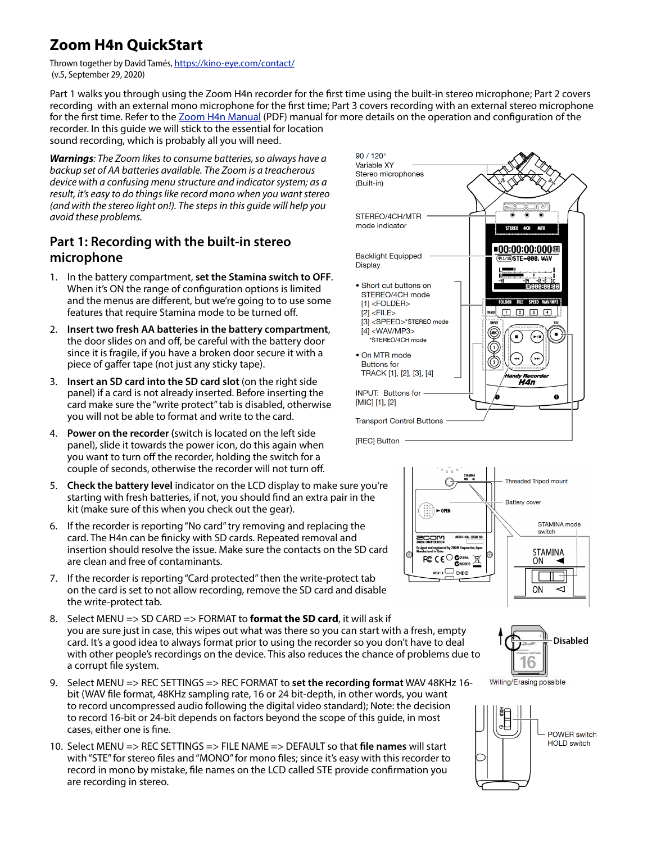## **Zoom H4n QuickStart**

Thrown together by David Tamés, <https://kino-eye.com/contact/> (v.5, September 29, 2020)

Part 1 walks you through using the Zoom H4n recorder for the first time using the built-in stereo microphone; Part 2 covers recording with an external mono microphone for the first time; Part 3 covers recording with an external stereo microphone for the first time. Refer to the [Zoom H4n Manual](https://www.zoom-na.com/sites/default/files/products/downloads/pdfs/H4n-manual.pdf) (PDF) manual for more details on the operation and configuration of the recorder. In this guide we will stick to the essential for location

sound recording, which is probably all you will need.

*Warnings: The Zoom likes to consume batteries, so always have a backup set of AA batteries available. The Zoom is a treacherous device with a confusing menu structure and indicator system; as a result, it's easy to do things like record mono when you want stereo (and with the stereo light on!). The steps in this guide will help you avoid these problems.*

## **Part 1: Recording with the built-in stereo microphone**

- 1. In the battery compartment, **set the Stamina switch to OFF**. When it's ON the range of configuration options is limited and the menus are different, but we're going to to use some features that require Stamina mode to be turned off.
- 2. **Insert two fresh AA batteries in the battery compartment**, the door slides on and off, be careful with the battery door since it is fragile, if you have a broken door secure it with a piece of gaffer tape (not just any sticky tape).
- 3. **Insert an SD card into the SD card slot** (on the right side panel) if a card is not already inserted. Before inserting the card make sure the "write protect" tab is disabled, otherwise you will not be able to format and write to the card.
- 4. **Power on the recorder (**switch is located on the left side panel), slide it towards the power icon, do this again when you want to turn off the recorder, holding the switch for a couple of seconds, otherwise the recorder will not turn off.
- 5. **Check the battery level** indicator on the LCD display to make sure you're starting with fresh batteries, if not, you should find an extra pair in the kit (make sure of this when you check out the gear).
- 6. If the recorder is reporting "No card" try removing and replacing the card. The H4n can be finicky with SD cards. Repeated removal and insertion should resolve the issue. Make sure the contacts on the SD card are clean and free of contaminants.
- 7. If the recorder is reporting "Card protected" then the write-protect tab on the card is set to not allow recording, remove the SD card and disable the write-protect tab.
- 8. Select MENU => SD CARD => FORMAT to **format the SD card**, it will ask if you are sure just in case, this wipes out what was there so you can start with a fresh, empty card. It's a good idea to always format prior to using the recorder so you don't have to deal with other people's recordings on the device. This also reduces the chance of problems due to a corrupt file system.
- 9. Select MENU => REC SETTINGS => REC FORMAT to **set the recording format** WAV 48KHz 16 bit (WAV file format, 48KHz sampling rate, 16 or 24 bit-depth, in other words, you want to record uncompressed audio following the digital video standard); Note: the decision to record 16-bit or 24-bit depends on factors beyond the scope of this guide, in most cases, either one is fine.
- 10. Select MENU => REC SETTINGS => FILE NAME => DEFAULT so that **file names** will start with "STE" for stereo files and "MONO" for mono files; since it's easy with this recorder to record in mono by mistake, file names on the LCD called STE provide confirmation you are recording in stereo.







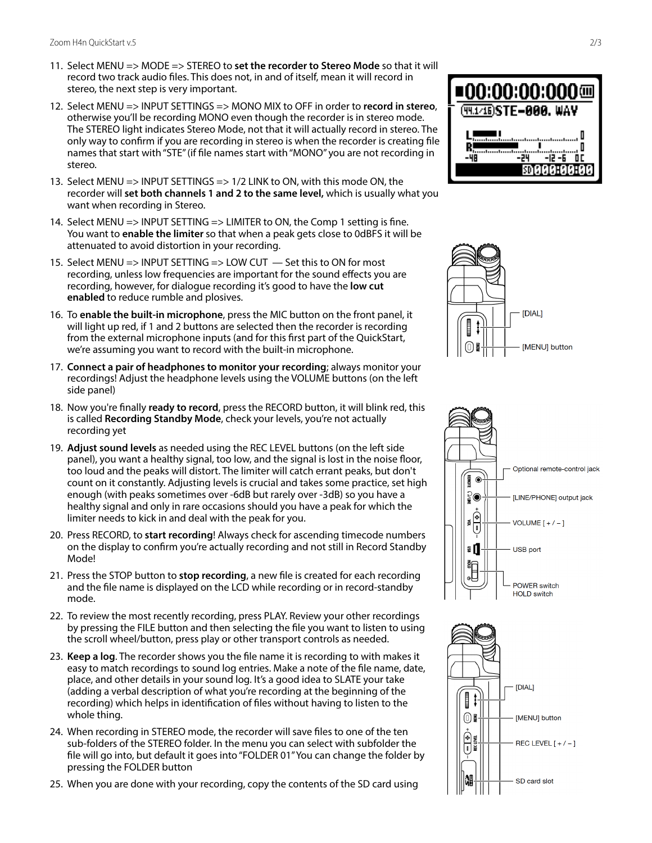- 11. Select MENU => MODE => STEREO to **set the recorder to Stereo Mode** so that it will record two track audio files. This does not, in and of itself, mean it will record in stereo, the next step is very important.
- 12. Select MENU => INPUT SETTINGS => MONO MIX to OFF in order to **record in stereo**, otherwise you'll be recording MONO even though the recorder is in stereo mode. The STEREO light indicates Stereo Mode, not that it will actually record in stereo. The only way to con firm if you are recording in stereo is when the recorder is creating file names that start with "STE" (if file names start with "MONO" you are not recording in stereo.
- 13. Select MENU => INPUT SETTINGS => 1/2 LINK to ON, with this mode ON, the recorder will **set both channels 1 and 2 to the same level,** which is usually what you want when recording in Stereo.
- 14. Select MENU => INPUT SETTING => LIMITER to ON, the Comp 1 setting is fine. You want to **enable the limiter** so that when a peak gets close to 0dBFS it will be attenuated to avoid distortion in your recording.
- 15. Select MENU => INPUT SETTING => LOW CUT Set this to ON for most recording, unless low frequencies are important for the sound e ffects you are recording, however, for dialogue recording it's good to have the **low cut enabled** to reduce rumble and plosives.
- 16. To **enable the built-in microphone**, press the MIC button on the front panel, it will light up red, if 1 and 2 buttons are selected then the recorder is recording from the external microphone inputs (and for this first part of the QuickStart, we're assuming you want to record with the built-in microphone.
- 17. **Connect a pair of headphones to monitor your recording**; always monitor your recordings! Adjust the headphone levels using the VOLUME buttons (on the left side panel)
- 18. Now you're finally **ready to record**, press the RECORD button, it will blink red, this is called **Recording Standby Mode**, check your levels, you're not actually recording yet
- 19. **Adjust sound levels** as needed using the REC LEVEL buttons (on the left side panel), you want a healthy signal, too low, and the signal is lost in the noise floor, too loud and the peaks will distort. The limiter will catch errant peaks, but don't count on it constantly. Adjusting levels is crucial and takes some practice, set high enough (with peaks sometimes over -6dB but rarely over -3dB) so you have a healthy signal and only in rare occasions should you have a peak for which the limiter needs to kick in and deal with the peak for you.
- 20. Press RECORD, to **start recording**! Always check for ascending timecode numbers on the display to confirm you're actually recording and not still in Record Standby Mode!
- 21. Press the STOP button to **stop recording**, a new file is created for each recording and the file name is displayed on the LCD while recording or in record-standby mode.
- 22. To review the most recently recording, press PLAY. Review your other recordings by pressing the FILE button and then selecting the file you want to listen to using the scroll wheel/button, press play or other transport controls as needed.
- 23. **Keep a log**. The recorder shows you the file name it is recording to with makes it easy to match recordings to sound log entries. Make a note of the file name, date, place, and other details in your sound log. It's a good idea to SLATE your take (adding a verbal description of what you're recording at the beginning of the recording) which helps in identi fication of files without having to listen to the whole thing.
- 24. When recording in STEREO mode, the recorder will save files to one of the ten sub-folders of the STEREO folder. In the menu you can select with subfolder the file will go into, but default it goes into "FOLDER 01" You can change the folder by pressing the FOLDER button
- 25. When you are done with your recording, copy the contents of the SD card using